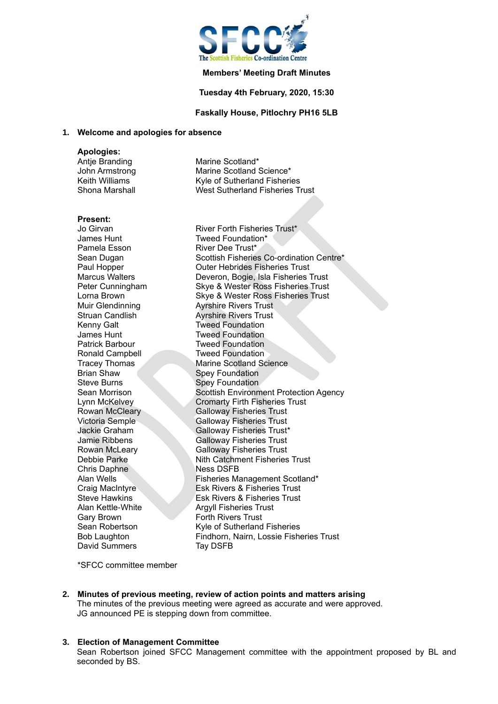

### **Members' Meeting Draft Minutes**

#### **Tuesday 4th February, 2020, 15:30**

### **Faskally House, Pitlochry PH16 5LB**

### **1. Welcome and apologies for absence**

**Apologies:**

Antie Branding Marine Scotland\* John Armstrong Marine Scotland Science\* Keith Williams **Kyle of Sutherland Fisheries** Shona Marshall West Sutherland Fisheries Trust

#### **Present:**

Pamela Esson River Dee Trust\* Muir Glendinning **Ayrshire Rivers Trust** Struan Candlish **Ayrshire Rivers Trust**<br>
Kenny Galt **Australian Constructs**<br>
Tweed Foundation James Hunt Tweed Foundation Patrick Barbour **Tweed Foundation**<br> **Ronald Campbell** Tweed Foundation Ronald Campbell **Brian Shaw Spey Foundation** Steve Burns Spey Foundation Chris Daphne Ness DSFB Alan Kettle-White<br>Gary Brown **Argyll Fisheries Trust**<br>Forth Rivers Trust Gary Brown Forth Rivers Trust<br>Sean Robertson Kyle of Sutherland David Summers Tay DSFB

Jo Girvan **River Forth Fisheries Trust** River Forth Fisheries Trust\*<br>James Hunt **River Tweed Foundation**\* Tweed Foundation\* Sean Dugan Scottish Fisheries Co-ordination Centre\* Paul Hopper Outer Hebrides Fisheries Trust Marcus Walters Deveron, Bogie, Isla Fisheries Trust Peter Cunningham Skye & Wester Ross Fisheries Trust Lorna Brown Skye & Wester Ross Fisheries Trust **Tweed Foundation** Tracey Thomas Marine Scotland Science Sean Morrison **Scottish Environment Protection Agency** Lynn McKelvey Cromarty Firth Fisheries Trust Rowan McCleary **Galloway Fisheries Trust** Victoria Semple Galloway Fisheries Trust Jackie Graham Galloway Fisheries Trust\* Jamie Ribbens Galloway Fisheries Trust Rowan McLeary **Galloway Fisheries Trust** Debbie Parke Nith Catchment Fisheries Trust Alan Wells Fisheries Management Scotland\* Craig MacIntyre Esk Rivers & Fisheries Trust **Esk Rivers & Fisheries Trust** Kyle of Sutherland Fisheries Bob Laughton Findhorn, Nairn, Lossie Fisheries Trust

\*SFCC committee member

**2. Minutes of previous meeting, review of action points and matters arising** The minutes of the previous meeting were agreed as accurate and were approved. JG announced PE is stepping down from committee.

#### **3. Election of Management Committee**

Sean Robertson joined SFCC Management committee with the appointment proposed by BL and seconded by BS.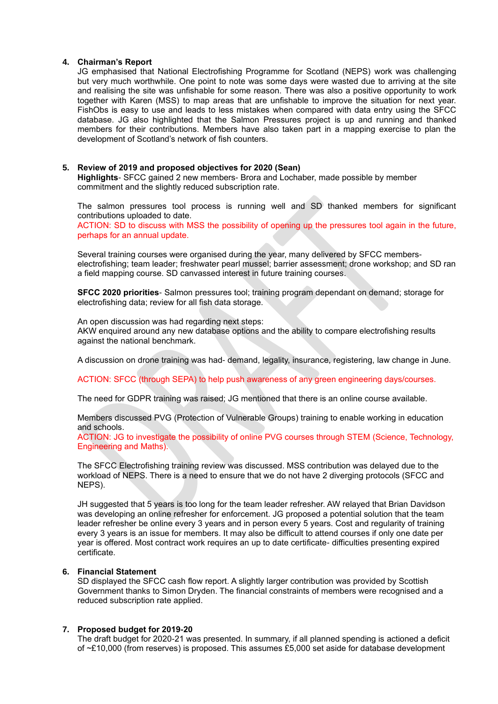### **4. Chairman's Report**

JG emphasised that National Electrofishing Programme for Scotland (NEPS) work was challenging but very much worthwhile. One point to note was some days were wasted due to arriving at the site and realising the site was unfishable for some reason. There was also a positive opportunity to work together with Karen (MSS) to map areas that are unfishable to improve the situation for next year. FishObs is easy to use and leads to less mistakes when compared with data entry using the SFCC database. JG also highlighted that the Salmon Pressures project is up and running and thanked members for their contributions. Members have also taken part in a mapping exercise to plan the development of Scotland's network of fish counters.

### **5. Review of 2019 and proposed objectives for 2020 (Sean)**

**Highlights**- SFCC gained 2 new members- Brora and Lochaber, made possible by member commitment and the slightly reduced subscription rate.

The salmon pressures tool process is running well and SD thanked members for significant contributions uploaded to date. ACTION: SD to discuss with MSS the possibility of opening up the pressures tool again in the future, perhaps for an annual update.

Several training courses were organised during the year, many delivered by SFCC memberselectrofishing; team leader; freshwater pearl mussel; barrier assessment; drone workshop; and SD ran a field mapping course. SD canvassed interest in future training courses.

**SFCC 2020 priorities**- Salmon pressures tool; training program dependant on demand; storage for electrofishing data; review for all fish data storage.

An open discussion was had regarding next steps:

AKW enquired around any new database options and the ability to compare electrofishing results against the national benchmark.

A discussion on drone training was had- demand, legality, insurance, registering, law change in June.

### ACTION: SFCC (through SEPA) to help push awareness of any green engineering days/courses.

The need for GDPR training was raised; JG mentioned that there is an online course available.

Members discussed PVG (Protection of Vulnerable Groups) training to enable working in education and schools.

ACTION: JG to investigate the possibility of online PVG courses through STEM (Science, Technology, Engineering and Maths).

The SFCC Electrofishing training review was discussed. MSS contribution was delayed due to the workload of NEPS. There is a need to ensure that we do not have 2 diverging protocols (SFCC and NEPS).

JH suggested that 5 years is too long for the team leader refresher. AW relayed that Brian Davidson was developing an online refresher for enforcement. JG proposed a potential solution that the team leader refresher be online every 3 years and in person every 5 years. Cost and regularity of training every 3 years is an issue for members. It may also be difficult to attend courses if only one date per year is offered. Most contract work requires an up to date certificate- difficulties presenting expired certificate.

# **6. Financial Statement**

SD displayed the SFCC cash flow report. A slightly larger contribution was provided by Scottish Government thanks to Simon Dryden. The financial constraints of members were recognised and a reduced subscription rate applied.

### **7. Proposed budget for 2019-20**

The draft budget for 2020-21 was presented. In summary, if all planned spending is actioned a deficit of ~£10,000 (from reserves) is proposed. This assumes £5,000 set aside for database development